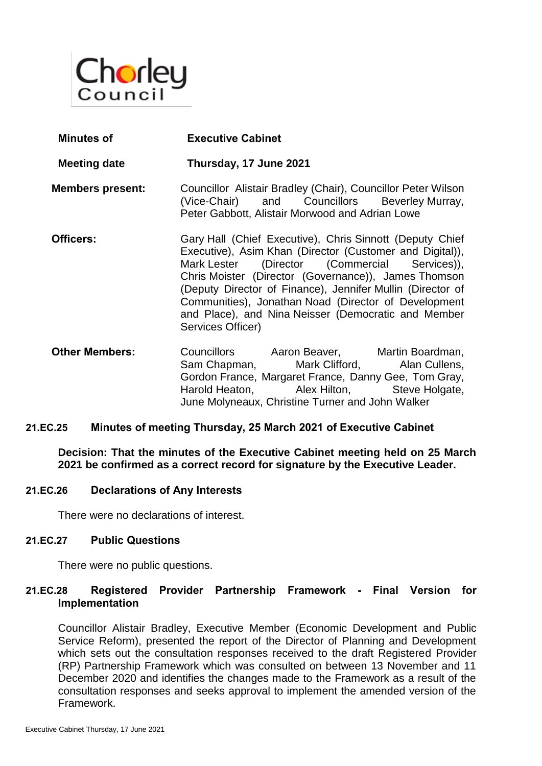

- **Minutes of Executive Cabinet Meeting date Thursday, 17 June 2021 Members present:** Councillor Alistair Bradley (Chair), Councillor Peter Wilson<br>(Vice-Chair) and Councillors Beverley Murray. (Vice-Chair) and Councillors Beverley Murray, Peter Gabbott, Alistair Morwood and Adrian Lowe **Officers:** Gary Hall (Chief Executive), Chris Sinnott (Deputy Chief Executive), Asim Khan (Director (Customer and Digital)), Mark Lester (Director (Commercial Services)), Chris Moister (Director (Governance)), James Thomson (Deputy Director of Finance), Jennifer Mullin (Director of Communities), Jonathan Noad (Director of Development and Place), and Nina Neisser (Democratic and Member Services Officer)
- **Other Members:** Councillors Aaron Beaver, Martin Boardman, Sam Chapman, Mark Clifford, Alan Cullens, Gordon France, Margaret France, Danny Gee, Tom Gray, Harold Heaton, Alex Hilton, Steve Holgate, June Molyneaux, Christine Turner and John Walker

#### **21.EC.25 Minutes of meeting Thursday, 25 March 2021 of Executive Cabinet**

**Decision: That the minutes of the Executive Cabinet meeting held on 25 March 2021 be confirmed as a correct record for signature by the Executive Leader.**

#### **21.EC.26 Declarations of Any Interests**

There were no declarations of interest.

#### **21.EC.27 Public Questions**

There were no public questions.

# **21.EC.28 Registered Provider Partnership Framework - Final Version for Implementation**

Councillor Alistair Bradley, Executive Member (Economic Development and Public Service Reform), presented the report of the Director of Planning and Development which sets out the consultation responses received to the draft Registered Provider (RP) Partnership Framework which was consulted on between 13 November and 11 December 2020 and identifies the changes made to the Framework as a result of the consultation responses and seeks approval to implement the amended version of the Framework.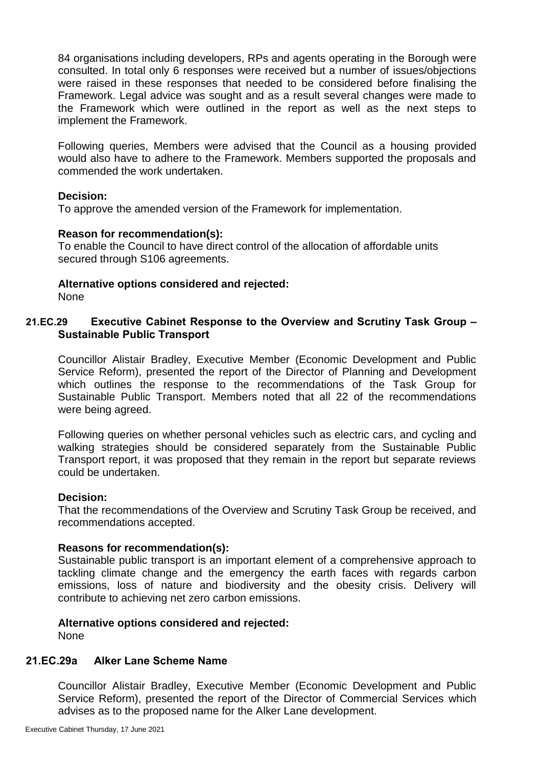84 organisations including developers, RPs and agents operating in the Borough were consulted. In total only 6 responses were received but a number of issues/objections were raised in these responses that needed to be considered before finalising the Framework. Legal advice was sought and as a result several changes were made to the Framework which were outlined in the report as well as the next steps to implement the Framework.

Following queries, Members were advised that the Council as a housing provided would also have to adhere to the Framework. Members supported the proposals and commended the work undertaken.

#### **Decision:**

To approve the amended version of the Framework for implementation.

#### **Reason for recommendation(s):**

To enable the Council to have direct control of the allocation of affordable units secured through S106 agreements.

# **Alternative options considered and rejected:**

None

# **21.EC.29 Executive Cabinet Response to the Overview and Scrutiny Task Group – Sustainable Public Transport**

Councillor Alistair Bradley, Executive Member (Economic Development and Public Service Reform), presented the report of the Director of Planning and Development which outlines the response to the recommendations of the Task Group for Sustainable Public Transport. Members noted that all 22 of the recommendations were being agreed.

Following queries on whether personal vehicles such as electric cars, and cycling and walking strategies should be considered separately from the Sustainable Public Transport report, it was proposed that they remain in the report but separate reviews could be undertaken.

#### **Decision:**

That the recommendations of the Overview and Scrutiny Task Group be received, and recommendations accepted.

#### **Reasons for recommendation(s):**

Sustainable public transport is an important element of a comprehensive approach to tackling climate change and the emergency the earth faces with regards carbon emissions, loss of nature and biodiversity and the obesity crisis. Delivery will contribute to achieving net zero carbon emissions.

# **Alternative options considered and rejected:**

None

#### **21.EC.29a Alker Lane Scheme Name**

Councillor Alistair Bradley, Executive Member (Economic Development and Public Service Reform), presented the report of the Director of Commercial Services which advises as to the proposed name for the Alker Lane development.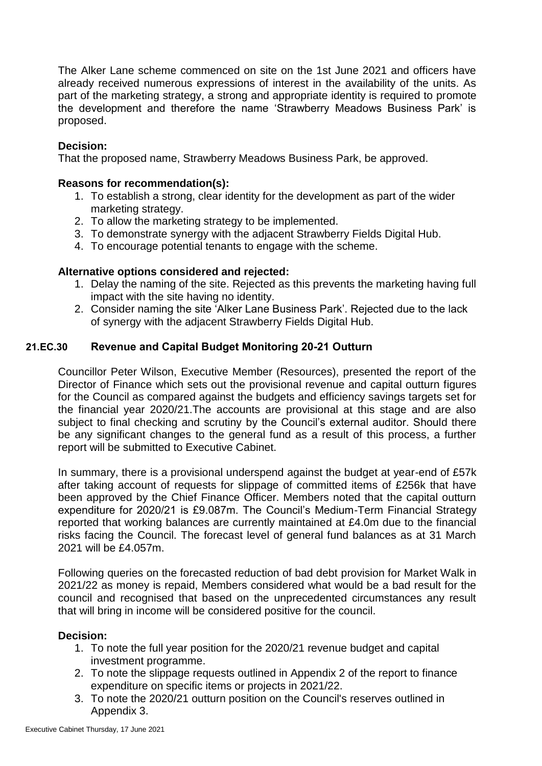The Alker Lane scheme commenced on site on the 1st June 2021 and officers have already received numerous expressions of interest in the availability of the units. As part of the marketing strategy, a strong and appropriate identity is required to promote the development and therefore the name 'Strawberry Meadows Business Park' is proposed.

# **Decision:**

That the proposed name, Strawberry Meadows Business Park, be approved.

#### **Reasons for recommendation(s):**

- 1. To establish a strong, clear identity for the development as part of the wider marketing strategy.
- 2. To allow the marketing strategy to be implemented.
- 3. To demonstrate synergy with the adjacent Strawberry Fields Digital Hub.
- 4. To encourage potential tenants to engage with the scheme.

# **Alternative options considered and rejected:**

- 1. Delay the naming of the site. Rejected as this prevents the marketing having full impact with the site having no identity.
- 2. Consider naming the site 'Alker Lane Business Park'. Rejected due to the lack of synergy with the adjacent Strawberry Fields Digital Hub.

# **21.EC.30 Revenue and Capital Budget Monitoring 20-21 Outturn**

Councillor Peter Wilson, Executive Member (Resources), presented the report of the Director of Finance which sets out the provisional revenue and capital outturn figures for the Council as compared against the budgets and efficiency savings targets set for the financial year 2020/21.The accounts are provisional at this stage and are also subject to final checking and scrutiny by the Council's external auditor. Should there be any significant changes to the general fund as a result of this process, a further report will be submitted to Executive Cabinet.

In summary, there is a provisional underspend against the budget at year-end of £57k after taking account of requests for slippage of committed items of £256k that have been approved by the Chief Finance Officer. Members noted that the capital outturn expenditure for 2020/21 is £9.087m. The Council's Medium-Term Financial Strategy reported that working balances are currently maintained at £4.0m due to the financial risks facing the Council. The forecast level of general fund balances as at 31 March 2021 will be £4.057m.

Following queries on the forecasted reduction of bad debt provision for Market Walk in 2021/22 as money is repaid, Members considered what would be a bad result for the council and recognised that based on the unprecedented circumstances any result that will bring in income will be considered positive for the council.

- 1. To note the full year position for the 2020/21 revenue budget and capital investment programme.
- 2. To note the slippage requests outlined in Appendix 2 of the report to finance expenditure on specific items or projects in 2021/22.
- 3. To note the 2020/21 outturn position on the Council's reserves outlined in Appendix 3.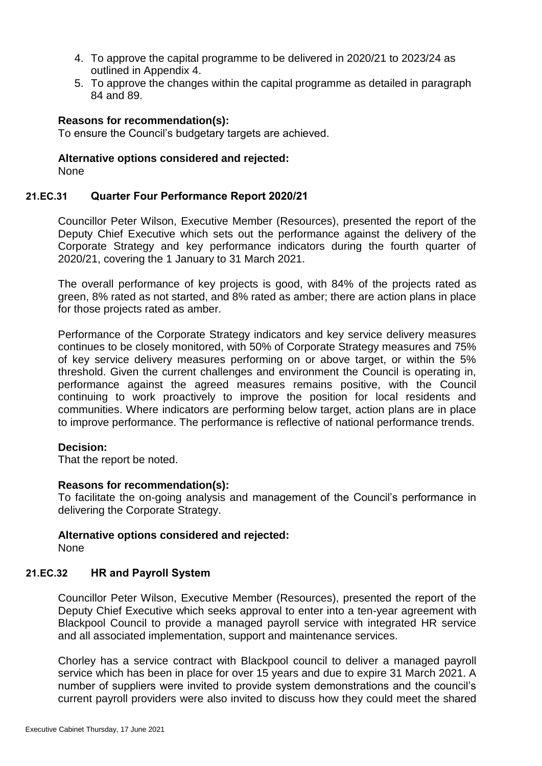- 4. To approve the capital programme to be delivered in 2020/21 to 2023/24 as outlined in Appendix 4.
- 5. To approve the changes within the capital programme as detailed in paragraph 84 and 89.

To ensure the Council's budgetary targets are achieved.

# **Alternative options considered and rejected:**

None

#### **21.EC.31 Quarter Four Performance Report 2020/21**

Councillor Peter Wilson, Executive Member (Resources), presented the report of the Deputy Chief Executive which sets out the performance against the delivery of the Corporate Strategy and key performance indicators during the fourth quarter of 2020/21, covering the 1 January to 31 March 2021.

The overall performance of key projects is good, with 84% of the projects rated as green, 8% rated as not started, and 8% rated as amber; there are action plans in place for those projects rated as amber.

Performance of the Corporate Strategy indicators and key service delivery measures continues to be closely monitored, with 50% of Corporate Strategy measures and 75% of key service delivery measures performing on or above target, or within the 5% threshold. Given the current challenges and environment the Council is operating in, performance against the agreed measures remains positive, with the Council continuing to work proactively to improve the position for local residents and communities. Where indicators are performing below target, action plans are in place to improve performance. The performance is reflective of national performance trends.

# **Decision:**

That the report be noted.

#### **Reasons for recommendation(s):**

To facilitate the on-going analysis and management of the Council's performance in delivering the Corporate Strategy.

#### **Alternative options considered and rejected:** None

# **21.EC.32 HR and Payroll System**

Councillor Peter Wilson, Executive Member (Resources), presented the report of the Deputy Chief Executive which seeks approval to enter into a ten-year agreement with Blackpool Council to provide a managed payroll service with integrated HR service and all associated implementation, support and maintenance services.

Chorley has a service contract with Blackpool council to deliver a managed payroll service which has been in place for over 15 years and due to expire 31 March 2021. A number of suppliers were invited to provide system demonstrations and the council's current payroll providers were also invited to discuss how they could meet the shared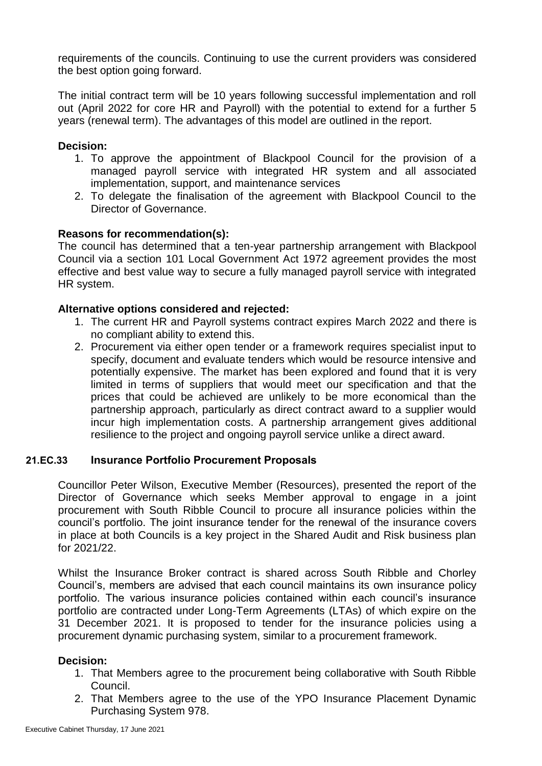requirements of the councils. Continuing to use the current providers was considered the best option going forward.

The initial contract term will be 10 years following successful implementation and roll out (April 2022 for core HR and Payroll) with the potential to extend for a further 5 years (renewal term). The advantages of this model are outlined in the report.

# **Decision:**

- 1. To approve the appointment of Blackpool Council for the provision of a managed payroll service with integrated HR system and all associated implementation, support, and maintenance services
- 2. To delegate the finalisation of the agreement with Blackpool Council to the Director of Governance.

# **Reasons for recommendation(s):**

The council has determined that a ten-year partnership arrangement with Blackpool Council via a section 101 Local Government Act 1972 agreement provides the most effective and best value way to secure a fully managed payroll service with integrated HR system.

# **Alternative options considered and rejected:**

- 1. The current HR and Payroll systems contract expires March 2022 and there is no compliant ability to extend this.
- 2. Procurement via either open tender or a framework requires specialist input to specify, document and evaluate tenders which would be resource intensive and potentially expensive. The market has been explored and found that it is very limited in terms of suppliers that would meet our specification and that the prices that could be achieved are unlikely to be more economical than the partnership approach, particularly as direct contract award to a supplier would incur high implementation costs. A partnership arrangement gives additional resilience to the project and ongoing payroll service unlike a direct award.

# **21.EC.33 Insurance Portfolio Procurement Proposals**

Councillor Peter Wilson, Executive Member (Resources), presented the report of the Director of Governance which seeks Member approval to engage in a joint procurement with South Ribble Council to procure all insurance policies within the council's portfolio. The joint insurance tender for the renewal of the insurance covers in place at both Councils is a key project in the Shared Audit and Risk business plan for 2021/22.

Whilst the Insurance Broker contract is shared across South Ribble and Chorley Council's, members are advised that each council maintains its own insurance policy portfolio. The various insurance policies contained within each council's insurance portfolio are contracted under Long-Term Agreements (LTAs) of which expire on the 31 December 2021. It is proposed to tender for the insurance policies using a procurement dynamic purchasing system, similar to a procurement framework.

- 1. That Members agree to the procurement being collaborative with South Ribble Council.
- 2. That Members agree to the use of the YPO Insurance Placement Dynamic Purchasing System 978.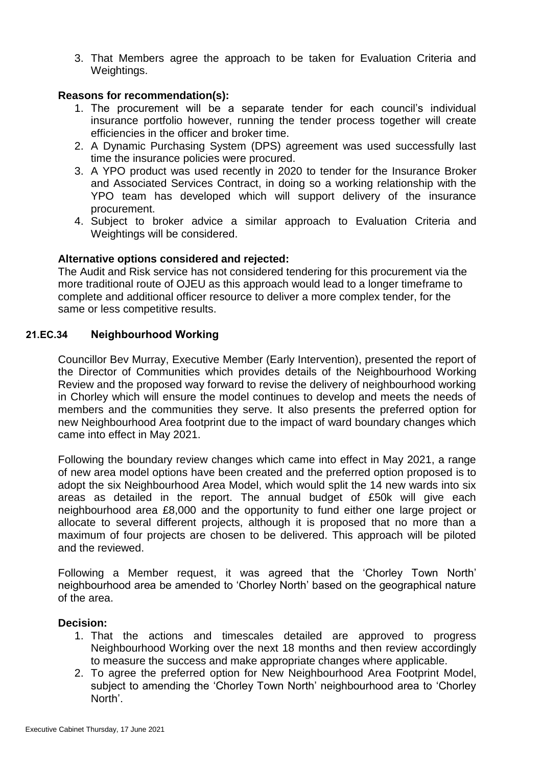3. That Members agree the approach to be taken for Evaluation Criteria and Weightings.

# **Reasons for recommendation(s):**

- 1. The procurement will be a separate tender for each council's individual insurance portfolio however, running the tender process together will create efficiencies in the officer and broker time.
- 2. A Dynamic Purchasing System (DPS) agreement was used successfully last time the insurance policies were procured.
- 3. A YPO product was used recently in 2020 to tender for the Insurance Broker and Associated Services Contract, in doing so a working relationship with the YPO team has developed which will support delivery of the insurance procurement.
- 4. Subject to broker advice a similar approach to Evaluation Criteria and Weightings will be considered.

# **Alternative options considered and rejected:**

The Audit and Risk service has not considered tendering for this procurement via the more traditional route of OJEU as this approach would lead to a longer timeframe to complete and additional officer resource to deliver a more complex tender, for the same or less competitive results.

# **21.EC.34 Neighbourhood Working**

Councillor Bev Murray, Executive Member (Early Intervention), presented the report of the Director of Communities which provides details of the Neighbourhood Working Review and the proposed way forward to revise the delivery of neighbourhood working in Chorley which will ensure the model continues to develop and meets the needs of members and the communities they serve. It also presents the preferred option for new Neighbourhood Area footprint due to the impact of ward boundary changes which came into effect in May 2021.

Following the boundary review changes which came into effect in May 2021, a range of new area model options have been created and the preferred option proposed is to adopt the six Neighbourhood Area Model, which would split the 14 new wards into six areas as detailed in the report. The annual budget of £50k will give each neighbourhood area £8,000 and the opportunity to fund either one large project or allocate to several different projects, although it is proposed that no more than a maximum of four projects are chosen to be delivered. This approach will be piloted and the reviewed.

Following a Member request, it was agreed that the 'Chorley Town North' neighbourhood area be amended to 'Chorley North' based on the geographical nature of the area.

- 1. That the actions and timescales detailed are approved to progress Neighbourhood Working over the next 18 months and then review accordingly to measure the success and make appropriate changes where applicable.
- 2. To agree the preferred option for New Neighbourhood Area Footprint Model, subject to amending the 'Chorley Town North' neighbourhood area to 'Chorley North'.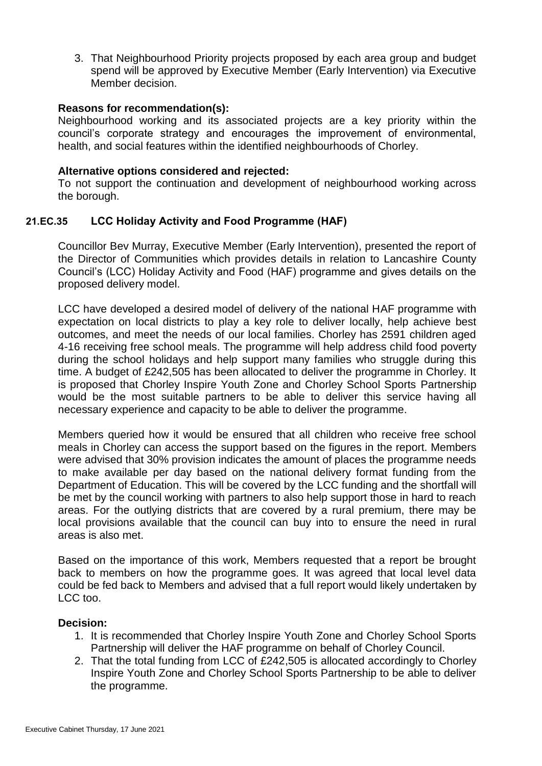3. That Neighbourhood Priority projects proposed by each area group and budget spend will be approved by Executive Member (Early Intervention) via Executive Member decision.

#### **Reasons for recommendation(s):**

Neighbourhood working and its associated projects are a key priority within the council's corporate strategy and encourages the improvement of environmental, health, and social features within the identified neighbourhoods of Chorley.

#### **Alternative options considered and rejected:**

To not support the continuation and development of neighbourhood working across the borough.

# **21.EC.35 LCC Holiday Activity and Food Programme (HAF)**

Councillor Bev Murray, Executive Member (Early Intervention), presented the report of the Director of Communities which provides details in relation to Lancashire County Council's (LCC) Holiday Activity and Food (HAF) programme and gives details on the proposed delivery model.

LCC have developed a desired model of delivery of the national HAF programme with expectation on local districts to play a key role to deliver locally, help achieve best outcomes, and meet the needs of our local families. Chorley has 2591 children aged 4-16 receiving free school meals. The programme will help address child food poverty during the school holidays and help support many families who struggle during this time. A budget of £242,505 has been allocated to deliver the programme in Chorley. It is proposed that Chorley Inspire Youth Zone and Chorley School Sports Partnership would be the most suitable partners to be able to deliver this service having all necessary experience and capacity to be able to deliver the programme.

Members queried how it would be ensured that all children who receive free school meals in Chorley can access the support based on the figures in the report. Members were advised that 30% provision indicates the amount of places the programme needs to make available per day based on the national delivery format funding from the Department of Education. This will be covered by the LCC funding and the shortfall will be met by the council working with partners to also help support those in hard to reach areas. For the outlying districts that are covered by a rural premium, there may be local provisions available that the council can buy into to ensure the need in rural areas is also met.

Based on the importance of this work, Members requested that a report be brought back to members on how the programme goes. It was agreed that local level data could be fed back to Members and advised that a full report would likely undertaken by LCC too.

- 1. It is recommended that Chorley Inspire Youth Zone and Chorley School Sports Partnership will deliver the HAF programme on behalf of Chorley Council.
- 2. That the total funding from LCC of £242,505 is allocated accordingly to Chorley Inspire Youth Zone and Chorley School Sports Partnership to be able to deliver the programme.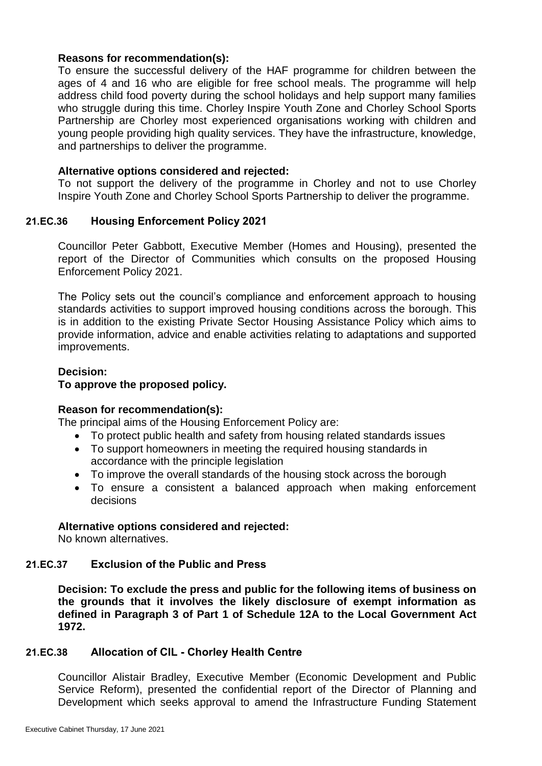To ensure the successful delivery of the HAF programme for children between the ages of 4 and 16 who are eligible for free school meals. The programme will help address child food poverty during the school holidays and help support many families who struggle during this time. Chorley Inspire Youth Zone and Chorley School Sports Partnership are Chorley most experienced organisations working with children and young people providing high quality services. They have the infrastructure, knowledge, and partnerships to deliver the programme.

#### **Alternative options considered and rejected:**

To not support the delivery of the programme in Chorley and not to use Chorley Inspire Youth Zone and Chorley School Sports Partnership to deliver the programme.

# **21.EC.36 Housing Enforcement Policy 2021**

Councillor Peter Gabbott, Executive Member (Homes and Housing), presented the report of the Director of Communities which consults on the proposed Housing Enforcement Policy 2021.

The Policy sets out the council's compliance and enforcement approach to housing standards activities to support improved housing conditions across the borough. This is in addition to the existing Private Sector Housing Assistance Policy which aims to provide information, advice and enable activities relating to adaptations and supported improvements.

# **Decision: To approve the proposed policy.**

# **Reason for recommendation(s):**

The principal aims of the Housing Enforcement Policy are:

- To protect public health and safety from housing related standards issues
- To support homeowners in meeting the required housing standards in accordance with the principle legislation
- To improve the overall standards of the housing stock across the borough
- To ensure a consistent a balanced approach when making enforcement decisions

# **Alternative options considered and rejected:**

No known alternatives.

# **21.EC.37 Exclusion of the Public and Press**

**Decision: To exclude the press and public for the following items of business on the grounds that it involves the likely disclosure of exempt information as defined in Paragraph 3 of Part 1 of Schedule 12A to the Local Government Act 1972.**

# **21.EC.38 Allocation of CIL - Chorley Health Centre**

Councillor Alistair Bradley, Executive Member (Economic Development and Public Service Reform), presented the confidential report of the Director of Planning and Development which seeks approval to amend the Infrastructure Funding Statement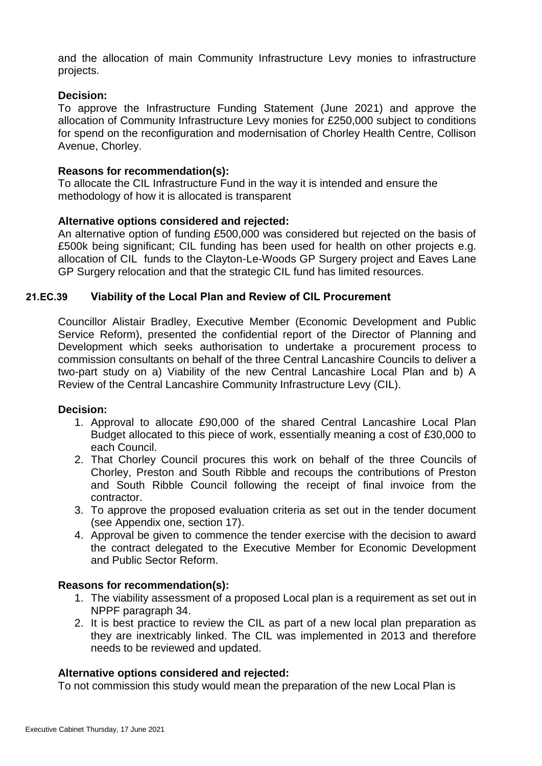and the allocation of main Community Infrastructure Levy monies to infrastructure projects.

#### **Decision:**

To approve the Infrastructure Funding Statement (June 2021) and approve the allocation of Community Infrastructure Levy monies for £250,000 subject to conditions for spend on the reconfiguration and modernisation of Chorley Health Centre, Collison Avenue, Chorley.

#### **Reasons for recommendation(s):**

To allocate the CIL Infrastructure Fund in the way it is intended and ensure the methodology of how it is allocated is transparent

#### **Alternative options considered and rejected:**

An alternative option of funding £500,000 was considered but rejected on the basis of £500k being significant; CIL funding has been used for health on other projects e.g. allocation of CIL funds to the Clayton-Le-Woods GP Surgery project and Eaves Lane GP Surgery relocation and that the strategic CIL fund has limited resources.

#### **21.EC.39 Viability of the Local Plan and Review of CIL Procurement**

Councillor Alistair Bradley, Executive Member (Economic Development and Public Service Reform), presented the confidential report of the Director of Planning and Development which seeks authorisation to undertake a procurement process to commission consultants on behalf of the three Central Lancashire Councils to deliver a two-part study on a) Viability of the new Central Lancashire Local Plan and b) A Review of the Central Lancashire Community Infrastructure Levy (CIL).

#### **Decision:**

- 1. Approval to allocate £90,000 of the shared Central Lancashire Local Plan Budget allocated to this piece of work, essentially meaning a cost of £30,000 to each Council.
- 2. That Chorley Council procures this work on behalf of the three Councils of Chorley, Preston and South Ribble and recoups the contributions of Preston and South Ribble Council following the receipt of final invoice from the contractor.
- 3. To approve the proposed evaluation criteria as set out in the tender document (see Appendix one, section 17).
- 4. Approval be given to commence the tender exercise with the decision to award the contract delegated to the Executive Member for Economic Development and Public Sector Reform.

#### **Reasons for recommendation(s):**

- 1. The viability assessment of a proposed Local plan is a requirement as set out in NPPF paragraph 34.
- 2. It is best practice to review the CIL as part of a new local plan preparation as they are inextricably linked. The CIL was implemented in 2013 and therefore needs to be reviewed and updated.

#### **Alternative options considered and rejected:**

To not commission this study would mean the preparation of the new Local Plan is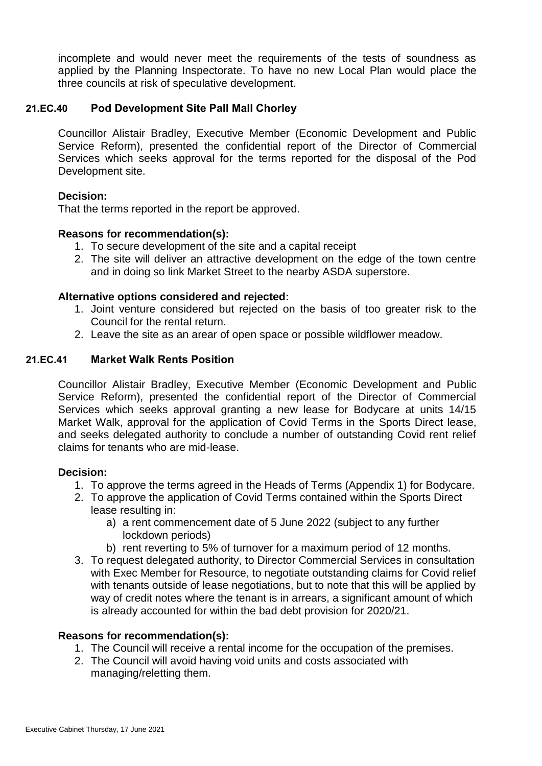incomplete and would never meet the requirements of the tests of soundness as applied by the Planning Inspectorate. To have no new Local Plan would place the three councils at risk of speculative development.

# **21.EC.40 Pod Development Site Pall Mall Chorley**

Councillor Alistair Bradley, Executive Member (Economic Development and Public Service Reform), presented the confidential report of the Director of Commercial Services which seeks approval for the terms reported for the disposal of the Pod Development site.

# **Decision:**

That the terms reported in the report be approved.

#### **Reasons for recommendation(s):**

- 1. To secure development of the site and a capital receipt
- 2. The site will deliver an attractive development on the edge of the town centre and in doing so link Market Street to the nearby ASDA superstore.

#### **Alternative options considered and rejected:**

- 1. Joint venture considered but rejected on the basis of too greater risk to the Council for the rental return.
- 2. Leave the site as an arear of open space or possible wildflower meadow.

#### **21.EC.41 Market Walk Rents Position**

Councillor Alistair Bradley, Executive Member (Economic Development and Public Service Reform), presented the confidential report of the Director of Commercial Services which seeks approval granting a new lease for Bodycare at units 14/15 Market Walk, approval for the application of Covid Terms in the Sports Direct lease, and seeks delegated authority to conclude a number of outstanding Covid rent relief claims for tenants who are mid-lease.

#### **Decision:**

- 1. To approve the terms agreed in the Heads of Terms (Appendix 1) for Bodycare.
- 2. To approve the application of Covid Terms contained within the Sports Direct lease resulting in:
	- a) a rent commencement date of 5 June 2022 (subject to any further lockdown periods)
	- b) rent reverting to 5% of turnover for a maximum period of 12 months.
- 3. To request delegated authority, to Director Commercial Services in consultation with Exec Member for Resource, to negotiate outstanding claims for Covid relief with tenants outside of lease negotiations, but to note that this will be applied by way of credit notes where the tenant is in arrears, a significant amount of which is already accounted for within the bad debt provision for 2020/21.

#### **Reasons for recommendation(s):**

- 1. The Council will receive a rental income for the occupation of the premises.
- 2. The Council will avoid having void units and costs associated with managing/reletting them.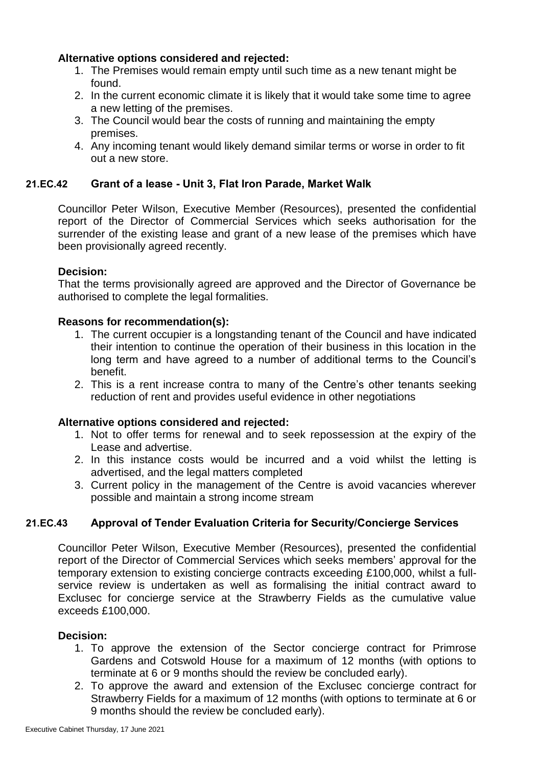# **Alternative options considered and rejected:**

- 1. The Premises would remain empty until such time as a new tenant might be found.
- 2. In the current economic climate it is likely that it would take some time to agree a new letting of the premises.
- 3. The Council would bear the costs of running and maintaining the empty premises.
- 4. Any incoming tenant would likely demand similar terms or worse in order to fit out a new store.

# **21.EC.42 Grant of a lease - Unit 3, Flat Iron Parade, Market Walk**

Councillor Peter Wilson, Executive Member (Resources), presented the confidential report of the Director of Commercial Services which seeks authorisation for the surrender of the existing lease and grant of a new lease of the premises which have been provisionally agreed recently.

# **Decision:**

That the terms provisionally agreed are approved and the Director of Governance be authorised to complete the legal formalities.

# **Reasons for recommendation(s):**

- 1. The current occupier is a longstanding tenant of the Council and have indicated their intention to continue the operation of their business in this location in the long term and have agreed to a number of additional terms to the Council's benefit.
- 2. This is a rent increase contra to many of the Centre's other tenants seeking reduction of rent and provides useful evidence in other negotiations

# **Alternative options considered and rejected:**

- 1. Not to offer terms for renewal and to seek repossession at the expiry of the Lease and advertise.
- 2. In this instance costs would be incurred and a void whilst the letting is advertised, and the legal matters completed
- 3. Current policy in the management of the Centre is avoid vacancies wherever possible and maintain a strong income stream

# **21.EC.43 Approval of Tender Evaluation Criteria for Security/Concierge Services**

Councillor Peter Wilson, Executive Member (Resources), presented the confidential report of the Director of Commercial Services which seeks members' approval for the temporary extension to existing concierge contracts exceeding £100,000, whilst a fullservice review is undertaken as well as formalising the initial contract award to Exclusec for concierge service at the Strawberry Fields as the cumulative value exceeds £100,000.

- 1. To approve the extension of the Sector concierge contract for Primrose Gardens and Cotswold House for a maximum of 12 months (with options to terminate at 6 or 9 months should the review be concluded early).
- 2. To approve the award and extension of the Exclusec concierge contract for Strawberry Fields for a maximum of 12 months (with options to terminate at 6 or 9 months should the review be concluded early).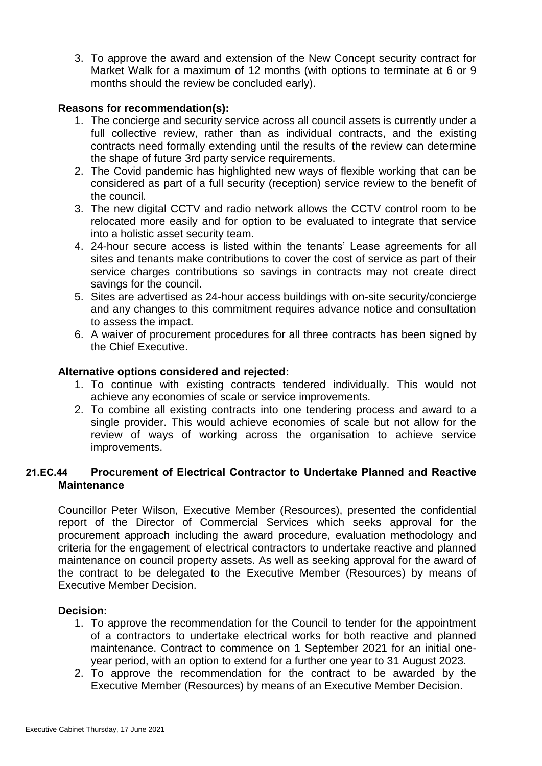3. To approve the award and extension of the New Concept security contract for Market Walk for a maximum of 12 months (with options to terminate at 6 or 9 months should the review be concluded early).

#### **Reasons for recommendation(s):**

- 1. The concierge and security service across all council assets is currently under a full collective review, rather than as individual contracts, and the existing contracts need formally extending until the results of the review can determine the shape of future 3rd party service requirements.
- 2. The Covid pandemic has highlighted new ways of flexible working that can be considered as part of a full security (reception) service review to the benefit of the council.
- 3. The new digital CCTV and radio network allows the CCTV control room to be relocated more easily and for option to be evaluated to integrate that service into a holistic asset security team.
- 4. 24-hour secure access is listed within the tenants' Lease agreements for all sites and tenants make contributions to cover the cost of service as part of their service charges contributions so savings in contracts may not create direct savings for the council.
- 5. Sites are advertised as 24-hour access buildings with on-site security/concierge and any changes to this commitment requires advance notice and consultation to assess the impact.
- 6. A waiver of procurement procedures for all three contracts has been signed by the Chief Executive.

#### **Alternative options considered and rejected:**

- 1. To continue with existing contracts tendered individually. This would not achieve any economies of scale or service improvements.
- 2. To combine all existing contracts into one tendering process and award to a single provider. This would achieve economies of scale but not allow for the review of ways of working across the organisation to achieve service improvements.

# **21.EC.44 Procurement of Electrical Contractor to Undertake Planned and Reactive Maintenance**

Councillor Peter Wilson, Executive Member (Resources), presented the confidential report of the Director of Commercial Services which seeks approval for the procurement approach including the award procedure, evaluation methodology and criteria for the engagement of electrical contractors to undertake reactive and planned maintenance on council property assets. As well as seeking approval for the award of the contract to be delegated to the Executive Member (Resources) by means of Executive Member Decision.

- 1. To approve the recommendation for the Council to tender for the appointment of a contractors to undertake electrical works for both reactive and planned maintenance. Contract to commence on 1 September 2021 for an initial oneyear period, with an option to extend for a further one year to 31 August 2023.
- 2. To approve the recommendation for the contract to be awarded by the Executive Member (Resources) by means of an Executive Member Decision.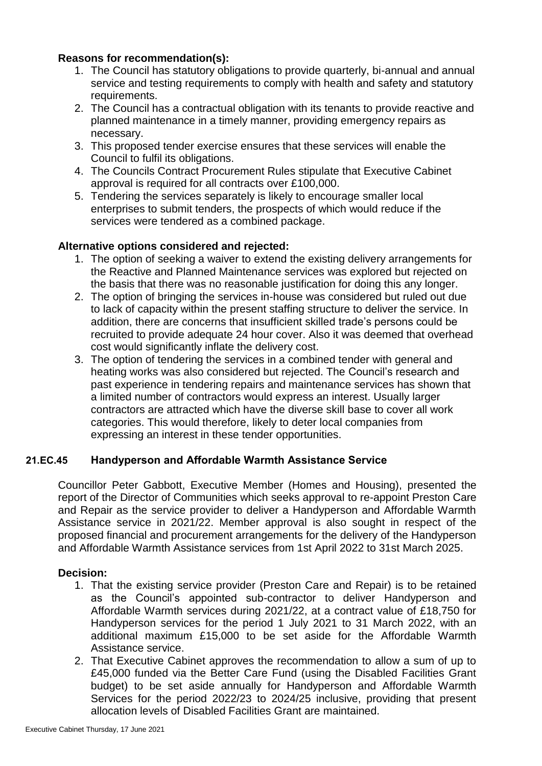- 1. The Council has statutory obligations to provide quarterly, bi-annual and annual service and testing requirements to comply with health and safety and statutory requirements.
- 2. The Council has a contractual obligation with its tenants to provide reactive and planned maintenance in a timely manner, providing emergency repairs as necessary.
- 3. This proposed tender exercise ensures that these services will enable the Council to fulfil its obligations.
- 4. The Councils Contract Procurement Rules stipulate that Executive Cabinet approval is required for all contracts over £100,000.
- 5. Tendering the services separately is likely to encourage smaller local enterprises to submit tenders, the prospects of which would reduce if the services were tendered as a combined package.

# **Alternative options considered and rejected:**

- 1. The option of seeking a waiver to extend the existing delivery arrangements for the Reactive and Planned Maintenance services was explored but rejected on the basis that there was no reasonable justification for doing this any longer.
- 2. The option of bringing the services in-house was considered but ruled out due to lack of capacity within the present staffing structure to deliver the service. In addition, there are concerns that insufficient skilled trade's persons could be recruited to provide adequate 24 hour cover. Also it was deemed that overhead cost would significantly inflate the delivery cost.
- 3. The option of tendering the services in a combined tender with general and heating works was also considered but rejected. The Council's research and past experience in tendering repairs and maintenance services has shown that a limited number of contractors would express an interest. Usually larger contractors are attracted which have the diverse skill base to cover all work categories. This would therefore, likely to deter local companies from expressing an interest in these tender opportunities.

# **21.EC.45 Handyperson and Affordable Warmth Assistance Service**

Councillor Peter Gabbott, Executive Member (Homes and Housing), presented the report of the Director of Communities which seeks approval to re-appoint Preston Care and Repair as the service provider to deliver a Handyperson and Affordable Warmth Assistance service in 2021/22. Member approval is also sought in respect of the proposed financial and procurement arrangements for the delivery of the Handyperson and Affordable Warmth Assistance services from 1st April 2022 to 31st March 2025.

- 1. That the existing service provider (Preston Care and Repair) is to be retained as the Council's appointed sub-contractor to deliver Handyperson and Affordable Warmth services during 2021/22, at a contract value of £18,750 for Handyperson services for the period 1 July 2021 to 31 March 2022, with an additional maximum £15,000 to be set aside for the Affordable Warmth Assistance service.
- 2. That Executive Cabinet approves the recommendation to allow a sum of up to £45,000 funded via the Better Care Fund (using the Disabled Facilities Grant budget) to be set aside annually for Handyperson and Affordable Warmth Services for the period 2022/23 to 2024/25 inclusive, providing that present allocation levels of Disabled Facilities Grant are maintained.